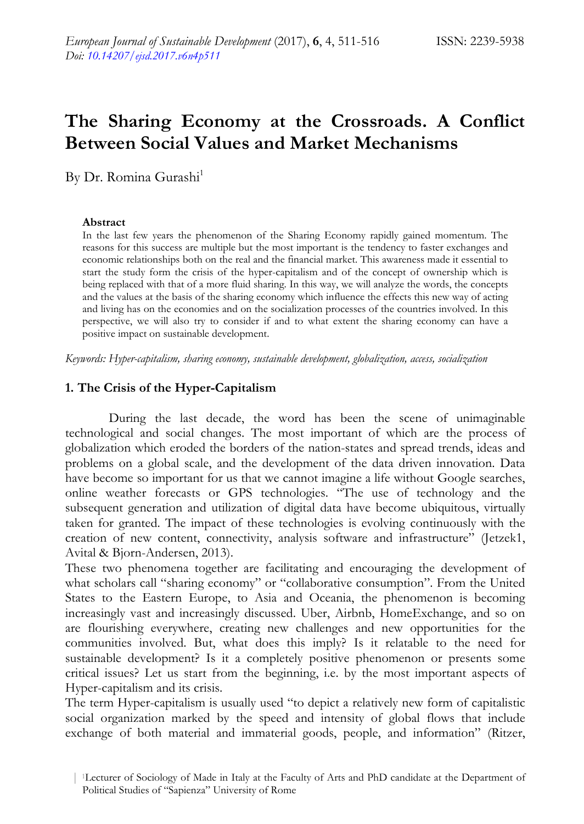# **The Sharing Economy at the Crossroads. A Conflict Between Social Values and Market Mechanisms**

By Dr. Romina Gurashi<sup>1</sup>

### **Abstract**

In the last few years the phenomenon of the Sharing Economy rapidly gained momentum. The reasons for this success are multiple but the most important is the tendency to faster exchanges and economic relationships both on the real and the financial market. This awareness made it essential to start the study form the crisis of the hyper-capitalism and of the concept of ownership which is being replaced with that of a more fluid sharing. In this way, we will analyze the words, the concepts and the values at the basis of the sharing economy which influence the effects this new way of acting and living has on the economies and on the socialization processes of the countries involved. In this perspective, we will also try to consider if and to what extent the sharing economy can have a positive impact on sustainable development.

*Keywords: Hyper-capitalism, sharing economy, sustainable development, globalization, access, socialization* 

## **1. The Crisis of the Hyper-Capitalism**

During the last decade, the word has been the scene of unimaginable technological and social changes. The most important of which are the process of globalization which eroded the borders of the nation-states and spread trends, ideas and problems on a global scale, and the development of the data driven innovation. Data have become so important for us that we cannot imagine a life without Google searches, online weather forecasts or GPS technologies. "The use of technology and the subsequent generation and utilization of digital data have become ubiquitous, virtually taken for granted. The impact of these technologies is evolving continuously with the creation of new content, connectivity, analysis software and infrastructure" (Jetzek1, Avital & Bjorn-Andersen, 2013).

These two phenomena together are facilitating and encouraging the development of what scholars call "sharing economy" or "collaborative consumption". From the United States to the Eastern Europe, to Asia and Oceania, the phenomenon is becoming increasingly vast and increasingly discussed. Uber, Airbnb, HomeExchange, and so on are flourishing everywhere, creating new challenges and new opportunities for the communities involved. But, what does this imply? Is it relatable to the need for sustainable development? Is it a completely positive phenomenon or presents some critical issues? Let us start from the beginning, i.e. by the most important aspects of Hyper-capitalism and its crisis.

The term Hyper-capitalism is usually used "to depict a relatively new form of capitalistic social organization marked by the speed and intensity of global flows that include exchange of both material and immaterial goods, people, and information" (Ritzer,

<sup>| 1</sup>Lecturer of Sociology of Made in Italy at the Faculty of Arts and PhD candidate at the Department of Political Studies of "Sapienza" University of Rome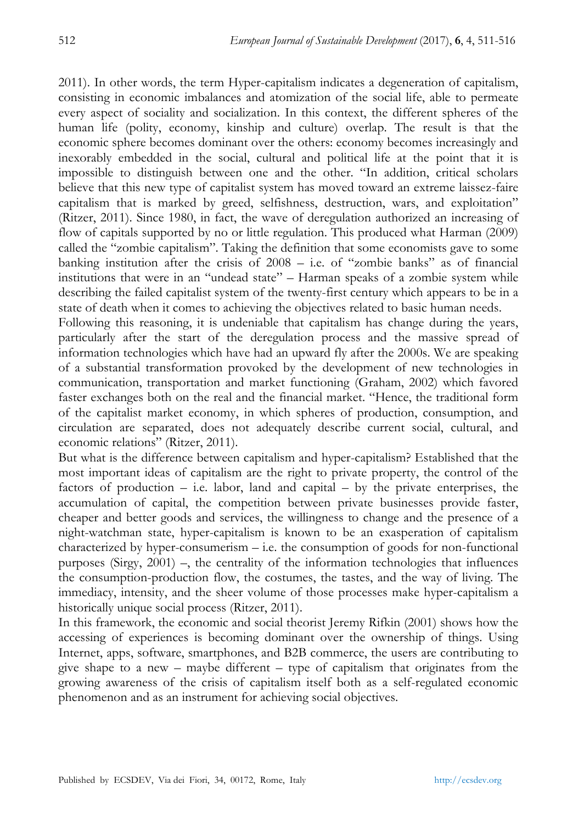2011). In other words, the term Hyper-capitalism indicates a degeneration of capitalism, consisting in economic imbalances and atomization of the social life, able to permeate every aspect of sociality and socialization. In this context, the different spheres of the human life (polity, economy, kinship and culture) overlap. The result is that the economic sphere becomes dominant over the others: economy becomes increasingly and inexorably embedded in the social, cultural and political life at the point that it is impossible to distinguish between one and the other. "In addition, critical scholars believe that this new type of capitalist system has moved toward an extreme laissez-faire capitalism that is marked by greed, selfishness, destruction, wars, and exploitation" (Ritzer, 2011). Since 1980, in fact, the wave of deregulation authorized an increasing of flow of capitals supported by no or little regulation. This produced what Harman (2009) called the "zombie capitalism". Taking the definition that some economists gave to some banking institution after the crisis of 2008 – i.e. of "zombie banks" as of financial institutions that were in an "undead state" – Harman speaks of a zombie system while describing the failed capitalist system of the twenty-first century which appears to be in a state of death when it comes to achieving the objectives related to basic human needs.

Following this reasoning, it is undeniable that capitalism has change during the years, particularly after the start of the deregulation process and the massive spread of information technologies which have had an upward fly after the 2000s. We are speaking of a substantial transformation provoked by the development of new technologies in communication, transportation and market functioning (Graham, 2002) which favored faster exchanges both on the real and the financial market. "Hence, the traditional form of the capitalist market economy, in which spheres of production, consumption, and circulation are separated, does not adequately describe current social, cultural, and economic relations" (Ritzer, 2011).

But what is the difference between capitalism and hyper-capitalism? Established that the most important ideas of capitalism are the right to private property, the control of the factors of production  $-$  i.e. labor, land and capital  $-$  by the private enterprises, the accumulation of capital, the competition between private businesses provide faster, cheaper and better goods and services, the willingness to change and the presence of a night-watchman state, hyper-capitalism is known to be an exasperation of capitalism characterized by hyper-consumerism – i.e. the consumption of goods for non-functional purposes (Sirgy, 2001) –, the centrality of the information technologies that influences the consumption-production flow, the costumes, the tastes, and the way of living. The immediacy, intensity, and the sheer volume of those processes make hyper-capitalism a historically unique social process (Ritzer, 2011).

In this framework, the economic and social theorist Jeremy Rifkin (2001) shows how the accessing of experiences is becoming dominant over the ownership of things. Using Internet, apps, software, smartphones, and B2B commerce, the users are contributing to give shape to a new – maybe different – type of capitalism that originates from the growing awareness of the crisis of capitalism itself both as a self-regulated economic phenomenon and as an instrument for achieving social objectives.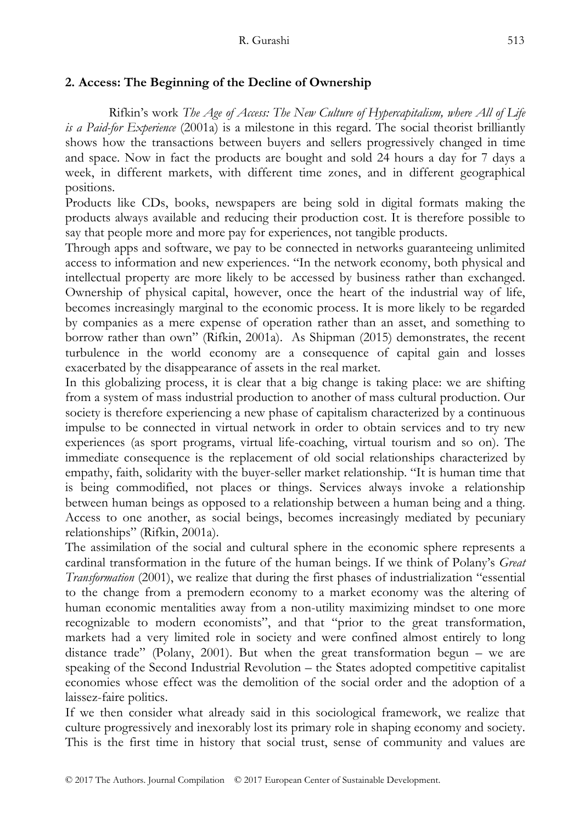## **2. Access: The Beginning of the Decline of Ownership**

Rifkin's work *The Age of Access: The New Culture of Hypercapitalism, where All of Life is a Paid-for Experience* (2001a) is a milestone in this regard. The social theorist brilliantly shows how the transactions between buyers and sellers progressively changed in time and space. Now in fact the products are bought and sold 24 hours a day for 7 days a week, in different markets, with different time zones, and in different geographical positions.

Products like CDs, books, newspapers are being sold in digital formats making the products always available and reducing their production cost. It is therefore possible to say that people more and more pay for experiences, not tangible products.

Through apps and software, we pay to be connected in networks guaranteeing unlimited access to information and new experiences. "In the network economy, both physical and intellectual property are more likely to be accessed by business rather than exchanged. Ownership of physical capital, however, once the heart of the industrial way of life, becomes increasingly marginal to the economic process. It is more likely to be regarded by companies as a mere expense of operation rather than an asset, and something to borrow rather than own" (Rifkin, 2001a). As Shipman (2015) demonstrates, the recent turbulence in the world economy are a consequence of capital gain and losses exacerbated by the disappearance of assets in the real market.

In this globalizing process, it is clear that a big change is taking place: we are shifting from a system of mass industrial production to another of mass cultural production. Our society is therefore experiencing a new phase of capitalism characterized by a continuous impulse to be connected in virtual network in order to obtain services and to try new experiences (as sport programs, virtual life-coaching, virtual tourism and so on). The immediate consequence is the replacement of old social relationships characterized by empathy, faith, solidarity with the buyer-seller market relationship. "It is human time that is being commodified, not places or things. Services always invoke a relationship between human beings as opposed to a relationship between a human being and a thing. Access to one another, as social beings, becomes increasingly mediated by pecuniary relationships" (Rifkin, 2001a).

The assimilation of the social and cultural sphere in the economic sphere represents a cardinal transformation in the future of the human beings. If we think of Polany's *Great Transformation* (2001), we realize that during the first phases of industrialization "essential to the change from a premodern economy to a market economy was the altering of human economic mentalities away from a non-utility maximizing mindset to one more recognizable to modern economists", and that "prior to the great transformation, markets had a very limited role in society and were confined almost entirely to long distance trade" (Polany, 2001). But when the great transformation begun – we are speaking of the Second Industrial Revolution – the States adopted competitive capitalist economies whose effect was the demolition of the social order and the adoption of a laissez-faire politics.

If we then consider what already said in this sociological framework, we realize that culture progressively and inexorably lost its primary role in shaping economy and society. This is the first time in history that social trust, sense of community and values are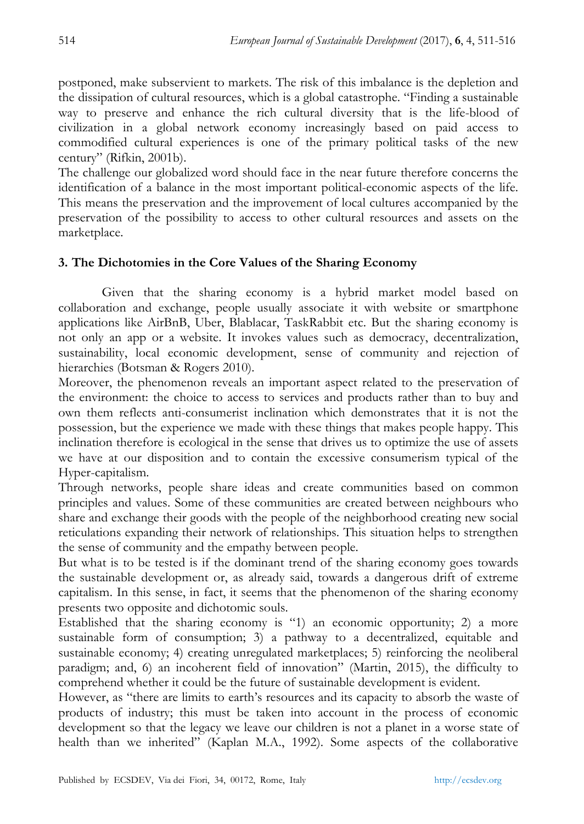postponed, make subservient to markets. The risk of this imbalance is the depletion and the dissipation of cultural resources, which is a global catastrophe. "Finding a sustainable way to preserve and enhance the rich cultural diversity that is the life-blood of civilization in a global network economy increasingly based on paid access to commodified cultural experiences is one of the primary political tasks of the new century" (Rifkin, 2001b).

The challenge our globalized word should face in the near future therefore concerns the identification of a balance in the most important political-economic aspects of the life. This means the preservation and the improvement of local cultures accompanied by the preservation of the possibility to access to other cultural resources and assets on the marketplace.

## **3. The Dichotomies in the Core Values of the Sharing Economy**

Given that the sharing economy is a hybrid market model based on collaboration and exchange, people usually associate it with website or smartphone applications like AirBnB, Uber, Blablacar, TaskRabbit etc. But the sharing economy is not only an app or a website. It invokes values such as democracy, decentralization, sustainability, local economic development, sense of community and rejection of hierarchies (Botsman & Rogers 2010).

Moreover, the phenomenon reveals an important aspect related to the preservation of the environment: the choice to access to services and products rather than to buy and own them reflects anti-consumerist inclination which demonstrates that it is not the possession, but the experience we made with these things that makes people happy. This inclination therefore is ecological in the sense that drives us to optimize the use of assets we have at our disposition and to contain the excessive consumerism typical of the Hyper-capitalism.

Through networks, people share ideas and create communities based on common principles and values. Some of these communities are created between neighbours who share and exchange their goods with the people of the neighborhood creating new social reticulations expanding their network of relationships. This situation helps to strengthen the sense of community and the empathy between people.

But what is to be tested is if the dominant trend of the sharing economy goes towards the sustainable development or, as already said, towards a dangerous drift of extreme capitalism. In this sense, in fact, it seems that the phenomenon of the sharing economy presents two opposite and dichotomic souls.

Established that the sharing economy is "1) an economic opportunity; 2) a more sustainable form of consumption; 3) a pathway to a decentralized, equitable and sustainable economy; 4) creating unregulated marketplaces; 5) reinforcing the neoliberal paradigm; and, 6) an incoherent field of innovation" (Martin, 2015), the difficulty to comprehend whether it could be the future of sustainable development is evident.

However, as "there are limits to earth's resources and its capacity to absorb the waste of products of industry; this must be taken into account in the process of economic development so that the legacy we leave our children is not a planet in a worse state of health than we inherited" (Kaplan M.A., 1992). Some aspects of the collaborative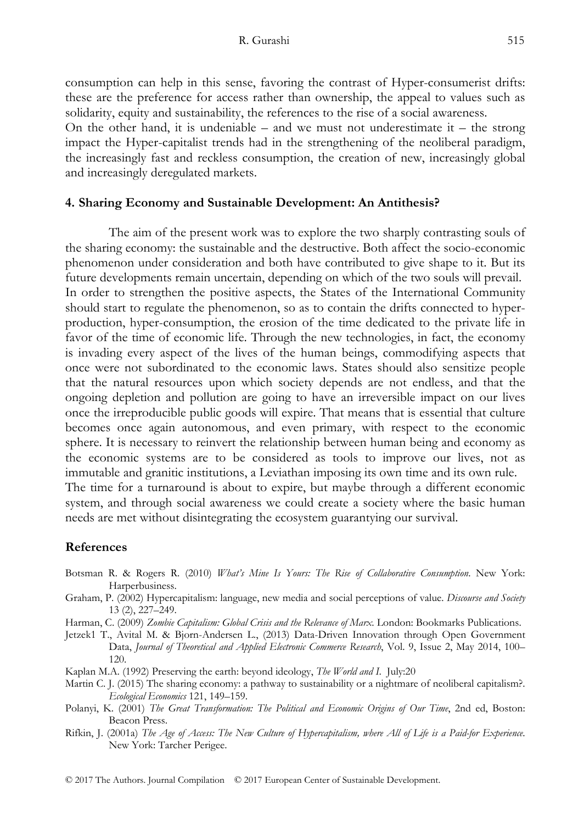consumption can help in this sense, favoring the contrast of Hyper-consumerist drifts: these are the preference for access rather than ownership, the appeal to values such as solidarity, equity and sustainability, the references to the rise of a social awareness.

On the other hand, it is undeniable – and we must not underestimate it – the strong impact the Hyper-capitalist trends had in the strengthening of the neoliberal paradigm, the increasingly fast and reckless consumption, the creation of new, increasingly global and increasingly deregulated markets.

### **4. Sharing Economy and Sustainable Development: An Antithesis?**

The aim of the present work was to explore the two sharply contrasting souls of the sharing economy: the sustainable and the destructive. Both affect the socio-economic phenomenon under consideration and both have contributed to give shape to it. But its future developments remain uncertain, depending on which of the two souls will prevail. In order to strengthen the positive aspects, the States of the International Community should start to regulate the phenomenon, so as to contain the drifts connected to hyperproduction, hyper-consumption, the erosion of the time dedicated to the private life in favor of the time of economic life. Through the new technologies, in fact, the economy is invading every aspect of the lives of the human beings, commodifying aspects that once were not subordinated to the economic laws. States should also sensitize people that the natural resources upon which society depends are not endless, and that the ongoing depletion and pollution are going to have an irreversible impact on our lives once the irreproducible public goods will expire. That means that is essential that culture becomes once again autonomous, and even primary, with respect to the economic sphere. It is necessary to reinvert the relationship between human being and economy as the economic systems are to be considered as tools to improve our lives, not as immutable and granitic institutions, a Leviathan imposing its own time and its own rule. The time for a turnaround is about to expire, but maybe through a different economic system, and through social awareness we could create a society where the basic human

### **References**

Botsman R. & Rogers R. (2010) *What's Mine Is Yours: The Rise of Collaborative Consumption*. New York: Harperbusiness.

needs are met without disintegrating the ecosystem guarantying our survival.

- Graham, P. (2002) Hypercapitalism: language, new media and social perceptions of value. *Discourse and Society* 13 (2), 227–249.
- Harman, C. (2009) *Zombie Capitalism: Global Crisis and the Relevance of Marx*. London: Bookmarks Publications.
- Jetzek1 T., Avital M. & Bjorn-Andersen L., (2013) Data-Driven Innovation through Open Government Data, *Journal of Theoretical and Applied Electronic Commerce Research*, Vol. 9, Issue 2, May 2014, 100– 120.
- Kaplan M.A. (1992) Preserving the earth: beyond ideology, *The World and I*. July:20
- Martin C. J. (2015) The sharing economy: a pathway to sustainability or a nightmare of neoliberal capitalism?. *Ecological Economics* 121, 149–159.
- Polanyi, K. (2001) *The Great Transformation: The Political and Economic Origins of Our Time*, 2nd ed, Boston: Beacon Press.
- Rifkin, J. (2001a) *The Age of Access: The New Culture of Hypercapitalism, where All of Life is a Paid-for Experience*. New York: Tarcher Perigee.